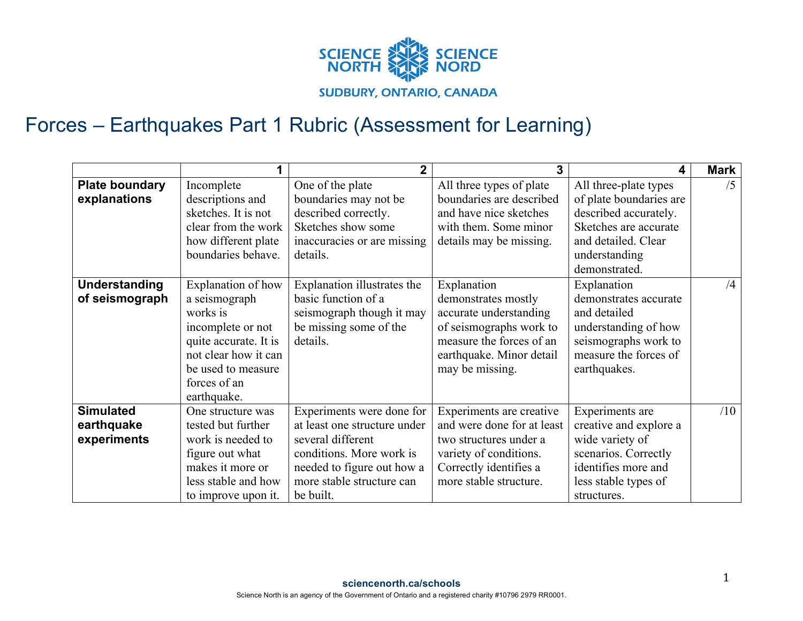

## Forces – Earthquakes Part 1 Rubric (Assessment for Learning)

|                       |                       | $\overline{2}$               | 3                          | 4                       | <b>Mark</b> |
|-----------------------|-----------------------|------------------------------|----------------------------|-------------------------|-------------|
| <b>Plate boundary</b> | Incomplete            | One of the plate             | All three types of plate   | All three-plate types   | /5          |
| explanations          | descriptions and      | boundaries may not be        | boundaries are described   | of plate boundaries are |             |
|                       | sketches. It is not   | described correctly.         | and have nice sketches     | described accurately.   |             |
|                       | clear from the work   | Sketches show some           | with them. Some minor      | Sketches are accurate   |             |
|                       | how different plate   | inaccuracies or are missing  | details may be missing.    | and detailed. Clear     |             |
|                       | boundaries behave.    | details.                     |                            | understanding           |             |
|                       |                       |                              |                            | demonstrated.           |             |
| <b>Understanding</b>  | Explanation of how    | Explanation illustrates the  | Explanation                | Explanation             | /4          |
| of seismograph        | a seismograph         | basic function of a          | demonstrates mostly        | demonstrates accurate   |             |
|                       | works is              | seismograph though it may    | accurate understanding     | and detailed            |             |
|                       | incomplete or not     | be missing some of the       | of seismographs work to    | understanding of how    |             |
|                       | quite accurate. It is | details.                     | measure the forces of an   | seismographs work to    |             |
|                       | not clear how it can  |                              | earthquake. Minor detail   | measure the forces of   |             |
|                       | be used to measure    |                              | may be missing.            | earthquakes.            |             |
|                       | forces of an          |                              |                            |                         |             |
|                       | earthquake.           |                              |                            |                         |             |
| <b>Simulated</b>      | One structure was     | Experiments were done for    | Experiments are creative   | Experiments are         | /10         |
| earthquake            | tested but further    | at least one structure under | and were done for at least | creative and explore a  |             |
| experiments           | work is needed to     | several different            | two structures under a     | wide variety of         |             |
|                       | figure out what       | conditions. More work is     | variety of conditions.     | scenarios. Correctly    |             |
|                       | makes it more or      | needed to figure out how a   | Correctly identifies a     | identifies more and     |             |
|                       | less stable and how   | more stable structure can    | more stable structure.     | less stable types of    |             |
|                       | to improve upon it.   | be built.                    |                            | structures.             |             |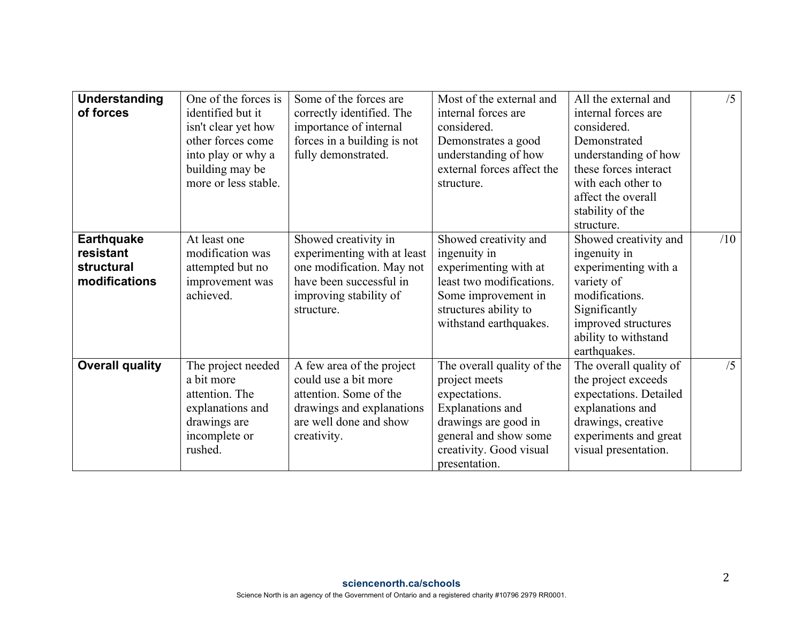| <b>Understanding</b><br>of forces                                    | One of the forces is<br>identified but it<br>isn't clear yet how<br>other forces come<br>into play or why a<br>building may be<br>more or less stable. | Some of the forces are<br>correctly identified. The<br>importance of internal<br>forces in a building is not<br>fully demonstrated.                 | Most of the external and<br>internal forces are<br>considered.<br>Demonstrates a good<br>understanding of how<br>external forces affect the<br>structure.                     | All the external and<br>internal forces are<br>considered.<br>Demonstrated<br>understanding of how<br>these forces interact<br>with each other to<br>affect the overall<br>stability of the<br>structure. | /5  |
|----------------------------------------------------------------------|--------------------------------------------------------------------------------------------------------------------------------------------------------|-----------------------------------------------------------------------------------------------------------------------------------------------------|-------------------------------------------------------------------------------------------------------------------------------------------------------------------------------|-----------------------------------------------------------------------------------------------------------------------------------------------------------------------------------------------------------|-----|
| <b>Earthquake</b><br>resistant<br><b>structural</b><br>modifications | At least one<br>modification was<br>attempted but no<br>improvement was<br>achieved.                                                                   | Showed creativity in<br>experimenting with at least<br>one modification. May not<br>have been successful in<br>improving stability of<br>structure. | Showed creativity and<br>ingenuity in<br>experimenting with at<br>least two modifications.<br>Some improvement in<br>structures ability to<br>withstand earthquakes.          | Showed creativity and<br>ingenuity in<br>experimenting with a<br>variety of<br>modifications.<br>Significantly<br>improved structures<br>ability to withstand<br>earthquakes.                             | /10 |
| <b>Overall quality</b>                                               | The project needed<br>a bit more<br>attention. The<br>explanations and<br>drawings are<br>incomplete or<br>rushed.                                     | A few area of the project<br>could use a bit more<br>attention. Some of the<br>drawings and explanations<br>are well done and show<br>creativity.   | The overall quality of the<br>project meets<br>expectations.<br>Explanations and<br>drawings are good in<br>general and show some<br>creativity. Good visual<br>presentation. | The overall quality of<br>the project exceeds<br>expectations. Detailed<br>explanations and<br>drawings, creative<br>experiments and great<br>visual presentation.                                        | /5  |